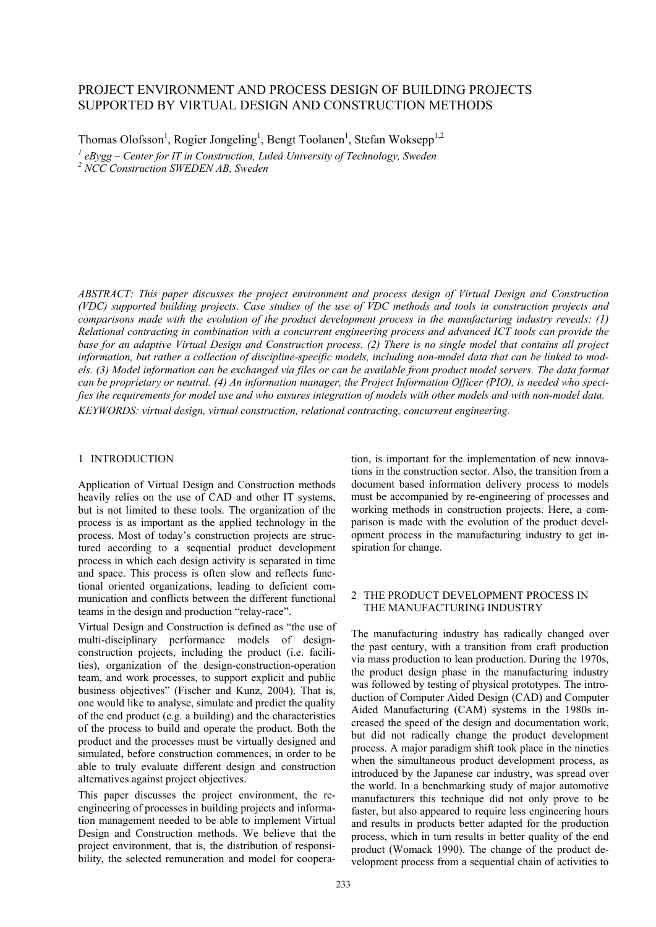# PROJECT ENVIRONMENT AND PROCESS DESIGN OF BUILDING PROJECTS SUPPORTED BY VIRTUAL DESIGN AND CONSTRUCTION METHODS

Thomas Olofsson<sup>1</sup>, Rogier Jongeling<sup>1</sup>, Bengt Toolanen<sup>1</sup>, Stefan Woksepp<sup>1,2</sup> <sup>1</sup> eBygg – Center for IT in Construction, Luleå University of Technology, Sweden

*2 NCC Construction SWEDEN AB, Sweden* 

*ABSTRACT: This paper discusses the project environment and process design of Virtual Design and Construction (VDC) supported building projects. Case studies of the use of VDC methods and tools in construction projects and comparisons made with the evolution of the product development process in the manufacturing industry reveals: (1) Relational contracting in combination with a concurrent engineering process and advanced ICT tools can provide the base for an adaptive Virtual Design and Construction process. (2) There is no single model that contains all project information, but rather a collection of discipline-specific models, including non-model data that can be linked to models. (3) Model information can be exchanged via files or can be available from product model servers. The data format can be proprietary or neutral. (4) An information manager, the Project Information Officer (PIO), is needed who specifies the requirements for model use and who ensures integration of models with other models and with non-model data. KEYWORDS: virtual design, virtual construction, relational contracting, concurrent engineering.* 

#### 1 INTRODUCTION

Application of Virtual Design and Construction methods heavily relies on the use of CAD and other IT systems, but is not limited to these tools. The organization of the process is as important as the applied technology in the process. Most of today's construction projects are structured according to a sequential product development process in which each design activity is separated in time and space. This process is often slow and reflects functional oriented organizations, leading to deficient communication and conflicts between the different functional teams in the design and production "relay-race".

Virtual Design and Construction is defined as "the use of multi-disciplinary performance models of designconstruction projects, including the product (i.e. facilities), organization of the design-construction-operation team, and work processes, to support explicit and public business objectives" (Fischer and Kunz, 2004). That is, one would like to analyse, simulate and predict the quality of the end product (e.g. a building) and the characteristics of the process to build and operate the product. Both the product and the processes must be virtually designed and simulated, before construction commences, in order to be able to truly evaluate different design and construction alternatives against project objectives.

This paper discusses the project environment, the reengineering of processes in building projects and information management needed to be able to implement Virtual Design and Construction methods. We believe that the project environment, that is, the distribution of responsibility, the selected remuneration and model for cooperation, is important for the implementation of new innovations in the construction sector. Also, the transition from a document based information delivery process to models must be accompanied by re-engineering of processes and working methods in construction projects. Here, a comparison is made with the evolution of the product development process in the manufacturing industry to get inspiration for change.

#### 2 THE PRODUCT DEVELOPMENT PROCESS IN THE MANUFACTURING INDUSTRY

The manufacturing industry has radically changed over the past century, with a transition from craft production via mass production to lean production. During the 1970s, the product design phase in the manufacturing industry was followed by testing of physical prototypes. The introduction of Computer Aided Design (CAD) and Computer Aided Manufacturing (CAM) systems in the 1980s increased the speed of the design and documentation work, but did not radically change the product development process. A major paradigm shift took place in the nineties when the simultaneous product development process, as introduced by the Japanese car industry, was spread over the world. In a benchmarking study of major automotive manufacturers this technique did not only prove to be faster, but also appeared to require less engineering hours and results in products better adapted for the production process, which in turn results in better quality of the end product (Womack 1990). The change of the product development process from a sequential chain of activities to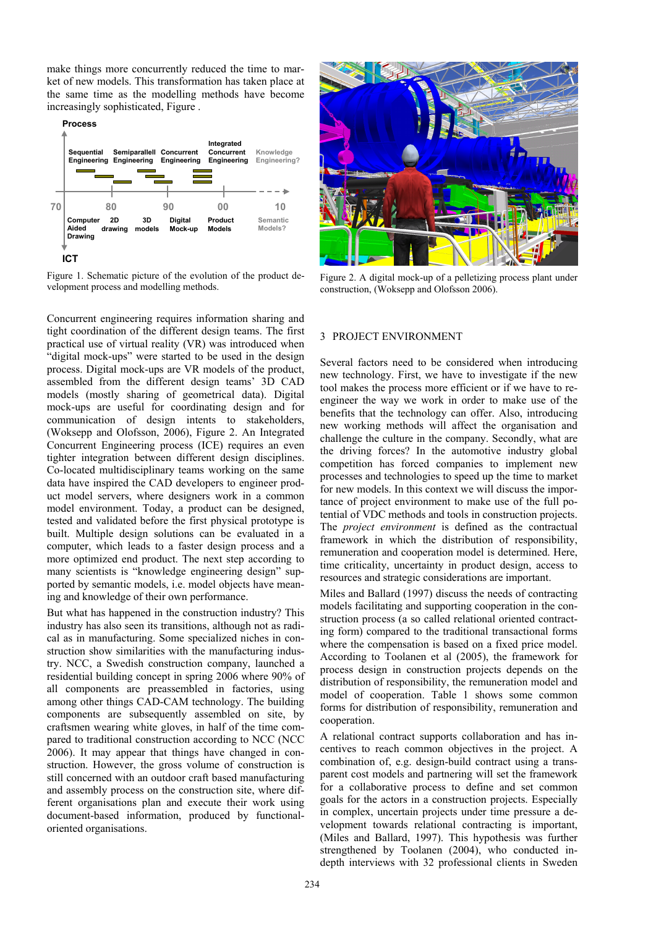make things more concurrently reduced the time to market of new models. This transformation has taken place at the same time as the modelling methods have become increasingly sophisticated, Figure .



Figure 1. Schematic picture of the evolution of the product development process and modelling methods.

Concurrent engineering requires information sharing and tight coordination of the different design teams. The first practical use of virtual reality (VR) was introduced when "digital mock-ups" were started to be used in the design process. Digital mock-ups are VR models of the product, assembled from the different design teams' 3D CAD models (mostly sharing of geometrical data). Digital mock-ups are useful for coordinating design and for communication of design intents to stakeholders, (Woksepp and Olofsson, 2006), Figure 2. An Integrated Concurrent Engineering process (ICE) requires an even tighter integration between different design disciplines. Co-located multidisciplinary teams working on the same data have inspired the CAD developers to engineer product model servers, where designers work in a common model environment. Today, a product can be designed, tested and validated before the first physical prototype is built. Multiple design solutions can be evaluated in a computer, which leads to a faster design process and a more optimized end product. The next step according to many scientists is "knowledge engineering design" supported by semantic models, i.e. model objects have meaning and knowledge of their own performance.

But what has happened in the construction industry? This industry has also seen its transitions, although not as radical as in manufacturing. Some specialized niches in construction show similarities with the manufacturing industry. NCC, a Swedish construction company, launched a residential building concept in spring 2006 where 90% of all components are preassembled in factories, using among other things CAD-CAM technology. The building components are subsequently assembled on site, by craftsmen wearing white gloves, in half of the time compared to traditional construction according to NCC (NCC 2006). It may appear that things have changed in construction. However, the gross volume of construction is still concerned with an outdoor craft based manufacturing and assembly process on the construction site, where different organisations plan and execute their work using document-based information, produced by functionaloriented organisations.



Figure 2. A digital mock-up of a pelletizing process plant under construction, (Woksepp and Olofsson 2006).

#### 3 PROJECT ENVIRONMENT

Several factors need to be considered when introducing new technology. First, we have to investigate if the new tool makes the process more efficient or if we have to reengineer the way we work in order to make use of the benefits that the technology can offer. Also, introducing new working methods will affect the organisation and challenge the culture in the company. Secondly, what are the driving forces? In the automotive industry global competition has forced companies to implement new processes and technologies to speed up the time to market for new models. In this context we will discuss the importance of project environment to make use of the full potential of VDC methods and tools in construction projects. The *project environment* is defined as the contractual framework in which the distribution of responsibility, remuneration and cooperation model is determined. Here, time criticality, uncertainty in product design, access to resources and strategic considerations are important.

Miles and Ballard (1997) discuss the needs of contracting models facilitating and supporting cooperation in the construction process (a so called relational oriented contracting form) compared to the traditional transactional forms where the compensation is based on a fixed price model. According to Toolanen et al (2005), the framework for process design in construction projects depends on the distribution of responsibility, the remuneration model and model of cooperation. Table 1 shows some common forms for distribution of responsibility, remuneration and cooperation.

A relational contract supports collaboration and has incentives to reach common objectives in the project. A combination of, e.g. design-build contract using a transparent cost models and partnering will set the framework for a collaborative process to define and set common goals for the actors in a construction projects. Especially in complex, uncertain projects under time pressure a development towards relational contracting is important, (Miles and Ballard, 1997). This hypothesis was further strengthened by Toolanen (2004), who conducted indepth interviews with 32 professional clients in Sweden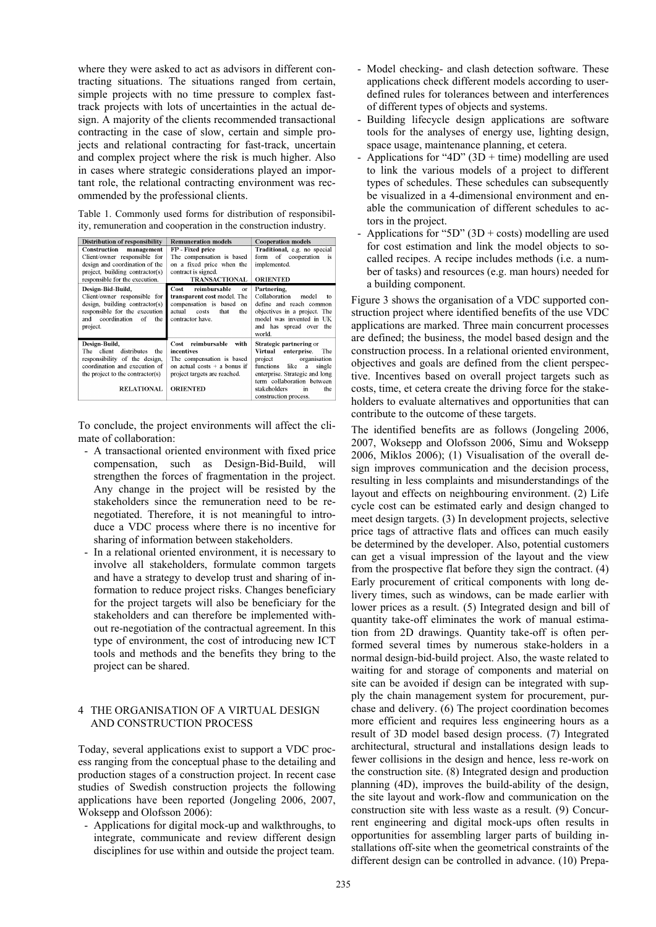where they were asked to act as advisors in different contracting situations. The situations ranged from certain, simple projects with no time pressure to complex fasttrack projects with lots of uncertainties in the actual design. A majority of the clients recommended transactional contracting in the case of slow, certain and simple projects and relational contracting for fast-track, uncertain and complex project where the risk is much higher. Also in cases where strategic considerations played an important role, the relational contracting environment was recommended by the professional clients.

Table 1. Commonly used forms for distribution of responsibility, remuneration and cooperation in the construction industry.

| Distribution of responsibility                                                                                                                                                  | <b>Remuneration models</b>                                                                                                                                | <b>Cooperation models</b>                                                                                                                                                                                                               |
|---------------------------------------------------------------------------------------------------------------------------------------------------------------------------------|-----------------------------------------------------------------------------------------------------------------------------------------------------------|-----------------------------------------------------------------------------------------------------------------------------------------------------------------------------------------------------------------------------------------|
| Construction management<br>Client/owner responsible for<br>design and coordination of the<br>project, building contractor(s)<br>responsible for the execution.                  | FP - Fixed price<br>The compensation is based<br>on a fixed price when the<br>contract is signed.<br><b>TRANSACTIONAL</b>                                 | Traditional, e.g. no special<br>form of cooperation<br>is<br>implemented.<br><b>ORIENTED</b>                                                                                                                                            |
| Design-Bid-Build,<br>Client/owner responsible for<br>design, building contractor(s)<br>responsible for the execution<br>coordination<br>and<br>of<br>the<br>project.            | Cost<br>reimbursable<br><b>or</b><br>transparent cost model. The<br>compensation is based<br>on<br>actual<br>that<br>costs<br>the<br>contractor have.     | Partnering,<br>Collaboration<br>model<br>to<br>define and reach common<br>objectives in a project. The<br>model was invented in UK<br>and has spread over the<br>world.                                                                 |
| Design-Build,<br>client<br>distributes<br>the<br>The<br>responsibility of the design,<br>coordination and execution of<br>the project to the contractor(s)<br><b>RELATIONAL</b> | Cost reimbursable<br>with<br>incentives<br>The compensation is based<br>on actual costs $+$ a bonus if<br>project targets are reached.<br><b>ORIENTED</b> | Strategic partnering or<br>Virtual<br>enterprise.<br>The<br>project organisation<br>like a<br>functions<br>single<br>enterprise. Strategic and long<br>term collaboration between<br>stakeholders<br>the<br>in<br>construction process. |

To conclude, the project environments will affect the climate of collaboration:

- A transactional oriented environment with fixed price compensation, such as Design-Bid-Build, will strengthen the forces of fragmentation in the project. Any change in the project will be resisted by the stakeholders since the remuneration need to be renegotiated. Therefore, it is not meaningful to introduce a VDC process where there is no incentive for sharing of information between stakeholders.
- In a relational oriented environment, it is necessary to involve all stakeholders, formulate common targets and have a strategy to develop trust and sharing of information to reduce project risks. Changes beneficiary for the project targets will also be beneficiary for the stakeholders and can therefore be implemented without re-negotiation of the contractual agreement. In this type of environment, the cost of introducing new ICT tools and methods and the benefits they bring to the project can be shared.

#### 4 THE ORGANISATION OF A VIRTUAL DESIGN AND CONSTRUCTION PROCESS

Today, several applications exist to support a VDC process ranging from the conceptual phase to the detailing and production stages of a construction project. In recent case studies of Swedish construction projects the following applications have been reported (Jongeling 2006, 2007, Woksepp and Olofsson 2006):

- Applications for digital mock-up and walkthroughs, to integrate, communicate and review different design disciplines for use within and outside the project team.

- Model checking- and clash detection software. These applications check different models according to userdefined rules for tolerances between and interferences of different types of objects and systems.
- Building lifecycle design applications are software tools for the analyses of energy use, lighting design, space usage, maintenance planning, et cetera.
- Applications for "4D" (3D + time) modelling are used to link the various models of a project to different types of schedules. These schedules can subsequently be visualized in a 4-dimensional environment and enable the communication of different schedules to actors in the project.
- Applications for "5D" (3D + costs) modelling are used for cost estimation and link the model objects to socalled recipes. A recipe includes methods (i.e. a number of tasks) and resources (e.g. man hours) needed for a building component.

Figure 3 shows the organisation of a VDC supported construction project where identified benefits of the use VDC applications are marked. Three main concurrent processes are defined; the business, the model based design and the construction process. In a relational oriented environment, objectives and goals are defined from the client perspective. Incentives based on overall project targets such as costs, time, et cetera create the driving force for the stakeholders to evaluate alternatives and opportunities that can contribute to the outcome of these targets.

The identified benefits are as follows (Jongeling 2006, 2007, Woksepp and Olofsson 2006, Simu and Woksepp 2006, Miklos 2006); (1) Visualisation of the overall design improves communication and the decision process, resulting in less complaints and misunderstandings of the layout and effects on neighbouring environment. (2) Life cycle cost can be estimated early and design changed to meet design targets. (3) In development projects, selective price tags of attractive flats and offices can much easily be determined by the developer. Also, potential customers can get a visual impression of the layout and the view from the prospective flat before they sign the contract. (4) Early procurement of critical components with long delivery times, such as windows, can be made earlier with lower prices as a result. (5) Integrated design and bill of quantity take-off eliminates the work of manual estimation from 2D drawings. Quantity take-off is often performed several times by numerous stake-holders in a normal design-bid-build project. Also, the waste related to waiting for and storage of components and material on site can be avoided if design can be integrated with supply the chain management system for procurement, purchase and delivery. (6) The project coordination becomes more efficient and requires less engineering hours as a result of 3D model based design process. (7) Integrated architectural, structural and installations design leads to fewer collisions in the design and hence, less re-work on the construction site. (8) Integrated design and production planning (4D), improves the build-ability of the design, the site layout and work-flow and communication on the construction site with less waste as a result. (9) Concurrent engineering and digital mock-ups often results in opportunities for assembling larger parts of building installations off-site when the geometrical constraints of the different design can be controlled in advance. (10) Prepa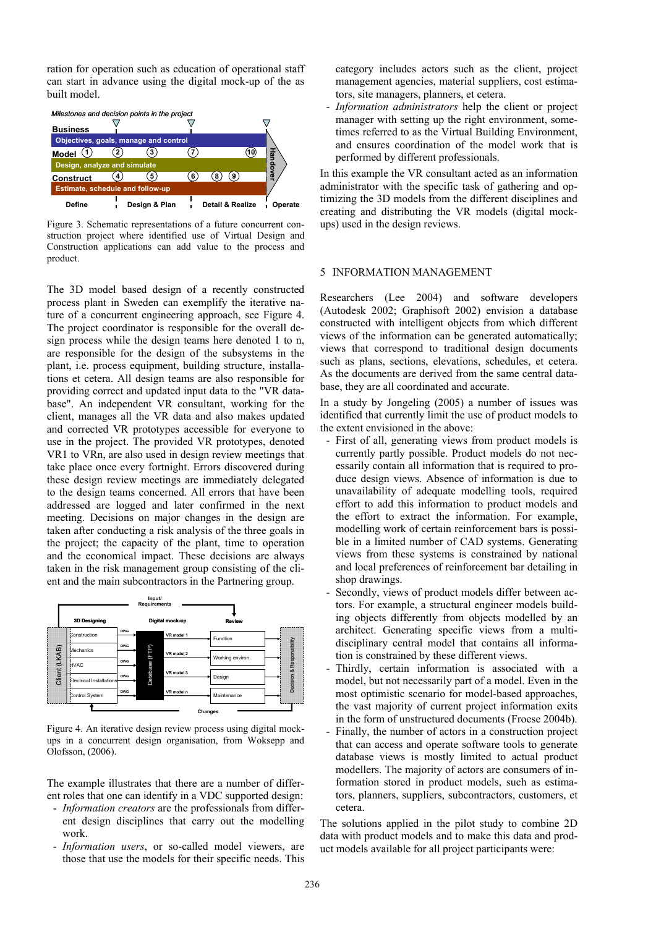ration for operation such as education of operational staff can start in advance using the digital mock-up of the as built model.



Figure 3. Schematic representations of a future concurrent construction project where identified use of Virtual Design and Construction applications can add value to the process and product.

The 3D model based design of a recently constructed process plant in Sweden can exemplify the iterative nature of a concurrent engineering approach, see Figure 4. The project coordinator is responsible for the overall design process while the design teams here denoted 1 to n, are responsible for the design of the subsystems in the plant, i.e. process equipment, building structure, installations et cetera. All design teams are also responsible for providing correct and updated input data to the "VR database". An independent VR consultant, working for the client, manages all the VR data and also makes updated and corrected VR prototypes accessible for everyone to use in the project. The provided VR prototypes, denoted VR1 to VRn, are also used in design review meetings that take place once every fortnight. Errors discovered during these design review meetings are immediately delegated to the design teams concerned. All errors that have been addressed are logged and later confirmed in the next meeting. Decisions on major changes in the design are taken after conducting a risk analysis of the three goals in the project; the capacity of the plant, time to operation and the economical impact. These decisions are always taken in the risk management group consisting of the client and the main subcontractors in the Partnering group.



Figure 4. An iterative design review process using digital mockups in a concurrent design organisation, from Woksepp and Olofsson, (2006).

The example illustrates that there are a number of different roles that one can identify in a VDC supported design:

- *Information creators* are the professionals from different design disciplines that carry out the modelling work.
- *Information users*, or so-called model viewers, are those that use the models for their specific needs. This

category includes actors such as the client, project management agencies, material suppliers, cost estimators, site managers, planners, et cetera.

- *Information administrators* help the client or project manager with setting up the right environment, sometimes referred to as the Virtual Building Environment, and ensures coordination of the model work that is performed by different professionals.

In this example the VR consultant acted as an information administrator with the specific task of gathering and optimizing the 3D models from the different disciplines and creating and distributing the VR models (digital mockups) used in the design reviews.

### 5 INFORMATION MANAGEMENT

Researchers (Lee 2004) and software developers (Autodesk 2002; Graphisoft 2002) envision a database constructed with intelligent objects from which different views of the information can be generated automatically; views that correspond to traditional design documents such as plans, sections, elevations, schedules, et cetera. As the documents are derived from the same central database, they are all coordinated and accurate.

In a study by Jongeling (2005) a number of issues was identified that currently limit the use of product models to the extent envisioned in the above:

- First of all, generating views from product models is currently partly possible. Product models do not necessarily contain all information that is required to produce design views. Absence of information is due to unavailability of adequate modelling tools, required effort to add this information to product models and the effort to extract the information. For example, modelling work of certain reinforcement bars is possible in a limited number of CAD systems. Generating views from these systems is constrained by national and local preferences of reinforcement bar detailing in shop drawings.
- Secondly, views of product models differ between actors. For example, a structural engineer models building objects differently from objects modelled by an architect. Generating specific views from a multidisciplinary central model that contains all information is constrained by these different views.
- Thirdly, certain information is associated with a model, but not necessarily part of a model. Even in the most optimistic scenario for model-based approaches, the vast majority of current project information exits in the form of unstructured documents (Froese 2004b).
- Finally, the number of actors in a construction project that can access and operate software tools to generate database views is mostly limited to actual product modellers. The majority of actors are consumers of information stored in product models, such as estimators, planners, suppliers, subcontractors, customers, et cetera.

The solutions applied in the pilot study to combine 2D data with product models and to make this data and product models available for all project participants were: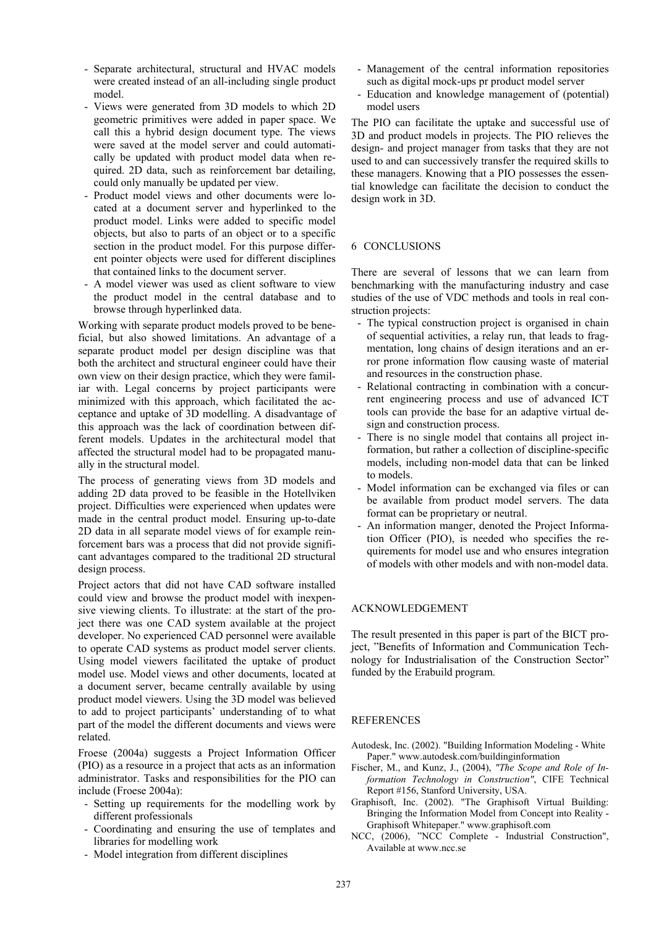- Separate architectural, structural and HVAC models were created instead of an all-including single product model.
- Views were generated from 3D models to which 2D geometric primitives were added in paper space. We call this a hybrid design document type. The views were saved at the model server and could automatically be updated with product model data when required. 2D data, such as reinforcement bar detailing, could only manually be updated per view.
- Product model views and other documents were located at a document server and hyperlinked to the product model. Links were added to specific model objects, but also to parts of an object or to a specific section in the product model. For this purpose different pointer objects were used for different disciplines that contained links to the document server.
- A model viewer was used as client software to view the product model in the central database and to browse through hyperlinked data.

Working with separate product models proved to be beneficial, but also showed limitations. An advantage of a separate product model per design discipline was that both the architect and structural engineer could have their own view on their design practice, which they were familiar with. Legal concerns by project participants were minimized with this approach, which facilitated the acceptance and uptake of 3D modelling. A disadvantage of this approach was the lack of coordination between different models. Updates in the architectural model that affected the structural model had to be propagated manually in the structural model.

The process of generating views from 3D models and adding 2D data proved to be feasible in the Hotellviken project. Difficulties were experienced when updates were made in the central product model. Ensuring up-to-date 2D data in all separate model views of for example reinforcement bars was a process that did not provide significant advantages compared to the traditional 2D structural design process.

Project actors that did not have CAD software installed could view and browse the product model with inexpensive viewing clients. To illustrate: at the start of the project there was one CAD system available at the project developer. No experienced CAD personnel were available to operate CAD systems as product model server clients. Using model viewers facilitated the uptake of product model use. Model views and other documents, located at a document server, became centrally available by using product model viewers. Using the 3D model was believed to add to project participants' understanding of to what part of the model the different documents and views were related.

Froese (2004a) suggests a Project Information Officer (PIO) as a resource in a project that acts as an information administrator. Tasks and responsibilities for the PIO can include (Froese 2004a):

- Setting up requirements for the modelling work by different professionals
- Coordinating and ensuring the use of templates and libraries for modelling work
- Model integration from different disciplines
- Management of the central information repositories such as digital mock-ups pr product model server
- Education and knowledge management of (potential) model users

The PIO can facilitate the uptake and successful use of 3D and product models in projects. The PIO relieves the design- and project manager from tasks that they are not used to and can successively transfer the required skills to these managers. Knowing that a PIO possesses the essential knowledge can facilitate the decision to conduct the design work in 3D.

## 6 CONCLUSIONS

There are several of lessons that we can learn from benchmarking with the manufacturing industry and case studies of the use of VDC methods and tools in real construction projects:

- The typical construction project is organised in chain of sequential activities, a relay run, that leads to fragmentation, long chains of design iterations and an error prone information flow causing waste of material and resources in the construction phase.
- Relational contracting in combination with a concurrent engineering process and use of advanced ICT tools can provide the base for an adaptive virtual design and construction process.
- There is no single model that contains all project information, but rather a collection of discipline-specific models, including non-model data that can be linked to models.
- Model information can be exchanged via files or can be available from product model servers. The data format can be proprietary or neutral.
- An information manger, denoted the Project Information Officer (PIO), is needed who specifies the requirements for model use and who ensures integration of models with other models and with non-model data.

## ACKNOWLEDGEMENT

The result presented in this paper is part of the BICT project, "Benefits of Information and Communication Technology for Industrialisation of the Construction Sector" funded by the Erabuild program.

## REFERENCES

- Autodesk, Inc. (2002). "Building Information Modeling White Paper." www.autodesk.com/buildinginformation
- Fischer, M., and Kunz, J., (2004), *"The Scope and Role of Information Technology in Construction"*, CIFE Technical Report #156, Stanford University, USA.
- Graphisoft, Inc. (2002). "The Graphisoft Virtual Building: Bringing the Information Model from Concept into Reality - Graphisoft Whitepaper." www.graphisoft.com
- NCC, (2006), "NCC Complete Industrial Construction", Available at www.ncc.se